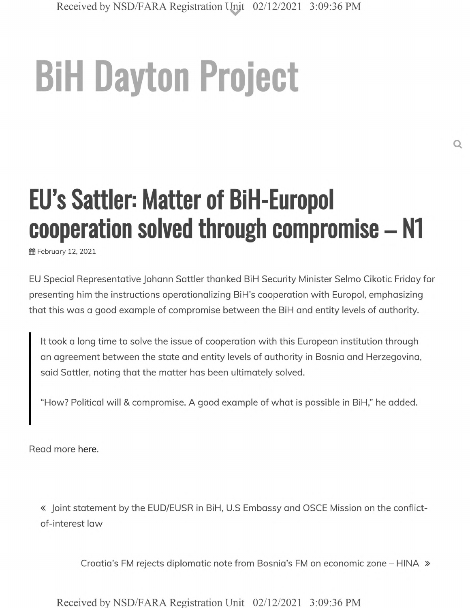# **BiH Dayton Project**

# **EU's Sattler: Matter of BiH-Europol cooperation solved through compromise - N1**

ffl February 12, 2021

EU Special Representative Johann Sattler thanked BiH Security Minister Selmo Cikotic Friday for presenting him the instructions operationalizing BiH's cooperation with Europol, emphasizing that this was a good example of compromise between the BiH and entity levels of authority.

It took a long time to solve the issue of cooperation with this European institution through an agreement between the state and entity levels of authority in Bosnia and Herzegovina, said Sattler, noting that the matter has been ultimately solved.

"How? Political will & compromise. A good example of what is possible in BiH," he added.

Read more here.

« Joint statement by the EUD/EUSR in BiH, U.S Embassy and OSCE Mission on the conflictof-interest law

Croatia's FM rejects diplomatic note from Bosnia's FM on economic zone - HINA »

Received by NSD/FARA Registration Unit 02/12/2021 3:09:36 PM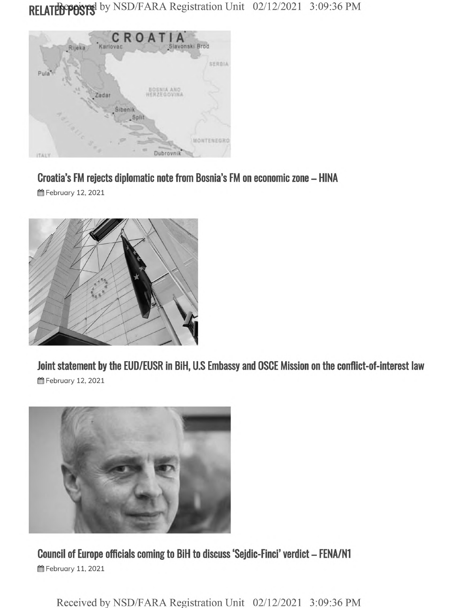## RELATED POSTS by NSD/FARA Registration Unit 02/12/2021 3:09:36 PM



#### Croatia's FM rejects diplomatic note from Bosnia's FM on economic zone - HINA

**曲 February 12, 2021** 



Joint statement by the EUD/EUSR in BiH, U.S Embassy and OSCE Mission on the conflict-of-interest law **曲 February 12, 2021** 



Council of Europe officials coming to BiH to discuss 'Sejdic-Finci' verdict - FENA/N1 **曲 February 11, 2021** 

Received by NSD/FARA Registration Unit 02/12/2021 3:09:36 PM